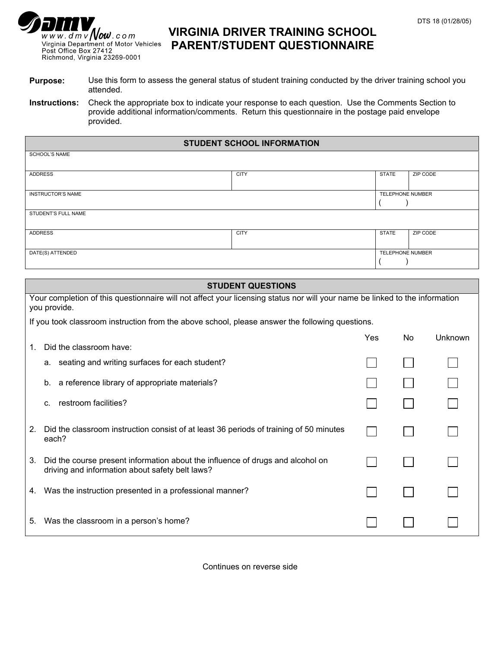## $\overline{www.dm} \overline{v}$  Now.com Virginia Department of Motor Vehicles<br>Post Office Box 27412 Richmond, Virginia 23269-0001

## **VIRGINIA DRIVER TRAINING SCHOOL PARENT/STUDENT QUESTIONNAIRE**

**Purpose:** Use this form to assess the general status of student training conducted by the driver training school you attended.

**Instructions:** Check the appropriate box to indicate your response to each question. Use the Comments Section to provide additional information/comments. Return this questionnaire in the postage paid envelope provided.

| <b>STUDENT SCHOOL INFORMATION</b> |             |                  |          |  |  |
|-----------------------------------|-------------|------------------|----------|--|--|
| <b>SCHOOL'S NAME</b>              |             |                  |          |  |  |
| <b>ADDRESS</b>                    | <b>CITY</b> | <b>STATE</b>     | ZIP CODE |  |  |
| <b>INSTRUCTOR'S NAME</b>          |             | TELEPHONE NUMBER |          |  |  |
| STUDENT'S FULL NAME               |             |                  |          |  |  |
| <b>ADDRESS</b>                    | <b>CITY</b> | <b>STATE</b>     | ZIP CODE |  |  |
| DATE(S) ATTENDED                  |             | TELEPHONE NUMBER |          |  |  |

|                                                                                                                                             | <b>STUDENT QUESTIONS</b>                                                                                                          |     |     |         |  |  |
|---------------------------------------------------------------------------------------------------------------------------------------------|-----------------------------------------------------------------------------------------------------------------------------------|-----|-----|---------|--|--|
| Your completion of this questionnaire will not affect your licensing status nor will your name be linked to the information<br>you provide. |                                                                                                                                   |     |     |         |  |  |
|                                                                                                                                             | If you took classroom instruction from the above school, please answer the following questions.                                   |     |     |         |  |  |
| 1.                                                                                                                                          | Did the classroom have:                                                                                                           | Yes | No. | Unknown |  |  |
|                                                                                                                                             | seating and writing surfaces for each student?<br>а.                                                                              |     |     |         |  |  |
|                                                                                                                                             | a reference library of appropriate materials?<br>b.                                                                               |     |     |         |  |  |
|                                                                                                                                             | restroom facilities?<br>C.                                                                                                        |     |     |         |  |  |
| 2.                                                                                                                                          | Did the classroom instruction consist of at least 36 periods of training of 50 minutes<br>each?                                   |     |     |         |  |  |
| 3.                                                                                                                                          | Did the course present information about the influence of drugs and alcohol on<br>driving and information about safety belt laws? |     |     |         |  |  |
| 4.                                                                                                                                          | Was the instruction presented in a professional manner?                                                                           |     |     |         |  |  |
| 5.                                                                                                                                          | Was the classroom in a person's home?                                                                                             |     |     |         |  |  |

Continues on reverse side